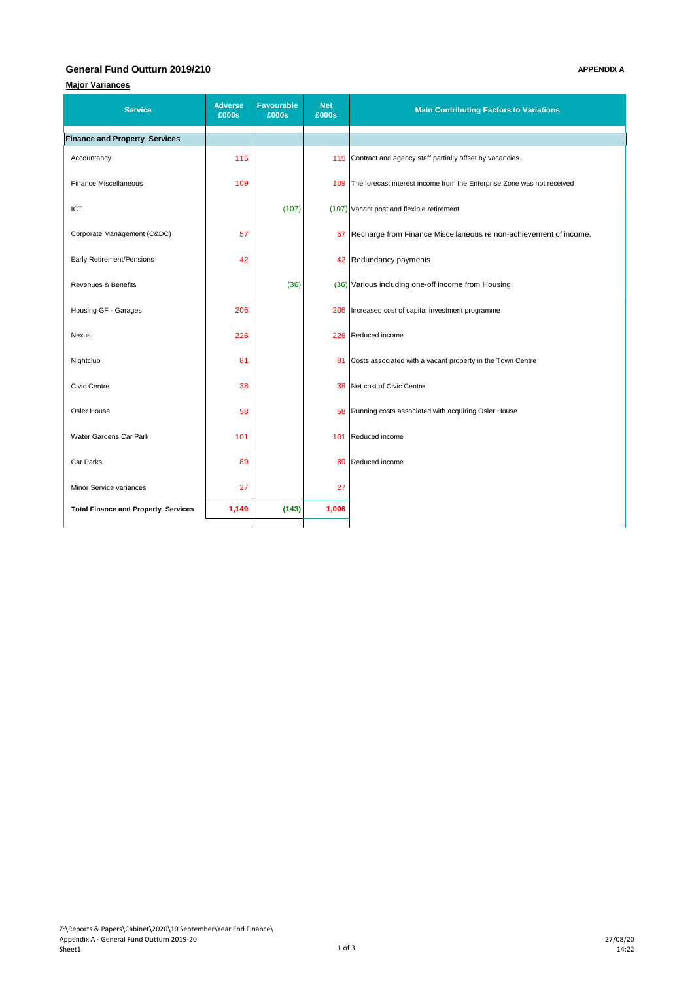### **General Fund Outturn 2019/210 APPENDIX A**

# **Major Variances**

| <b>Service</b>                             | <b>Adverse</b><br>£000s | <b>Favourable</b><br>£000s | Net<br>£000s | <b>Main Contributing Factors to Variations</b>                             |
|--------------------------------------------|-------------------------|----------------------------|--------------|----------------------------------------------------------------------------|
| <b>Finance and Property Services</b>       |                         |                            |              |                                                                            |
| Accountancy                                | 115                     |                            |              | 115 Contract and agency staff partially offset by vacancies.               |
| <b>Finance Miscellaneous</b>               | 109                     |                            |              | 109 The forecast interest income from the Enterprise Zone was not received |
| ICT                                        |                         | (107)                      |              | (107) Vacant post and flexible retirement.                                 |
| Corporate Management (C&DC)                | 57                      |                            |              | 57 Recharge from Finance Miscellaneous re non-achievement of income.       |
| Early Retirement/Pensions                  | 42                      |                            |              | 42 Redundancy payments                                                     |
| Revenues & Benefits                        |                         | (36)                       |              | (36) Various including one-off income from Housing.                        |
| Housing GF - Garages                       | 206                     |                            |              | 206   Increased cost of capital investment programme                       |
| Nexus                                      | 226                     |                            |              | 226 Reduced income                                                         |
| Nightclub                                  | 81                      |                            | 81           | Costs associated with a vacant property in the Town Centre                 |
| Civic Centre                               | 38                      |                            |              | 38 Net cost of Civic Centre                                                |
| Osler House                                | 58                      |                            |              | 58 Running costs associated with acquiring Osler House                     |
| Water Gardens Car Park                     | 101                     |                            |              | 101 Reduced income                                                         |
| Car Parks                                  | 89                      |                            |              | 89 Reduced income                                                          |
| Minor Service variances                    | 27                      |                            | 27           |                                                                            |
| <b>Total Finance and Property Services</b> | 1,149                   | (143)                      | 1,006        |                                                                            |
|                                            |                         |                            |              |                                                                            |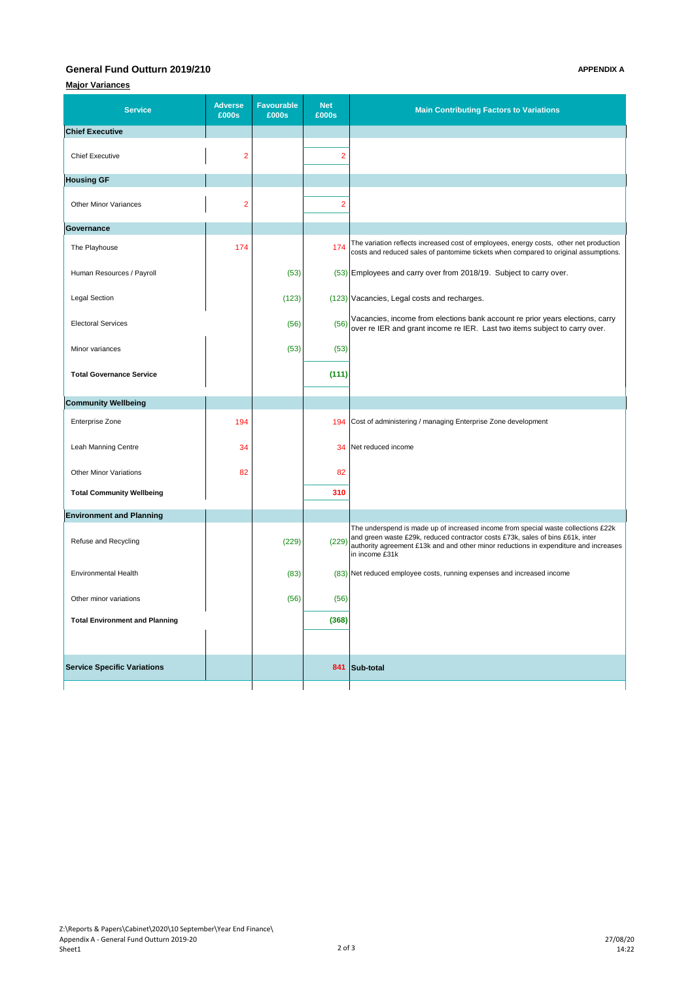### **General Fund Outturn 2019/210 APPENDIX A**

# **Major Variances**

| <b>Service</b>                        | <b>Adverse</b><br>£000s | <b>Favourable</b><br>£000s | <b>Net</b><br>£000s | <b>Main Contributing Factors to Variations</b>                                                                                                                                                                                                                                |
|---------------------------------------|-------------------------|----------------------------|---------------------|-------------------------------------------------------------------------------------------------------------------------------------------------------------------------------------------------------------------------------------------------------------------------------|
| <b>Chief Executive</b>                |                         |                            |                     |                                                                                                                                                                                                                                                                               |
| <b>Chief Executive</b>                | $\overline{2}$          |                            | $\overline{2}$      |                                                                                                                                                                                                                                                                               |
| <b>Housing GF</b>                     |                         |                            |                     |                                                                                                                                                                                                                                                                               |
| <b>Other Minor Variances</b>          | $\overline{2}$          |                            | $\overline{2}$      |                                                                                                                                                                                                                                                                               |
| Governance                            |                         |                            |                     |                                                                                                                                                                                                                                                                               |
| The Playhouse                         | 174                     |                            | 174                 | The variation reflects increased cost of employees, energy costs, other net production<br>costs and reduced sales of pantomime tickets when compared to original assumptions.                                                                                                 |
| Human Resources / Payroll             |                         | (53)                       |                     | (53) Employees and carry over from 2018/19. Subject to carry over.                                                                                                                                                                                                            |
| <b>Legal Section</b>                  |                         | (123)                      |                     | (123) Vacancies, Legal costs and recharges.                                                                                                                                                                                                                                   |
| <b>Electoral Services</b>             |                         | (56)                       | (56)                | Vacancies, income from elections bank account re prior years elections, carry<br>over re IER and grant income re IER. Last two items subject to carry over.                                                                                                                   |
| Minor variances                       |                         | (53)                       | (53)                |                                                                                                                                                                                                                                                                               |
| <b>Total Governance Service</b>       |                         |                            | (111)               |                                                                                                                                                                                                                                                                               |
| <b>Community Wellbeing</b>            |                         |                            |                     |                                                                                                                                                                                                                                                                               |
| Enterprise Zone                       | 194                     |                            | 194                 | Cost of administering / managing Enterprise Zone development                                                                                                                                                                                                                  |
| Leah Manning Centre                   | 34                      |                            | 34                  | Net reduced income                                                                                                                                                                                                                                                            |
| <b>Other Minor Variations</b>         | 82                      |                            | 82                  |                                                                                                                                                                                                                                                                               |
| <b>Total Community Wellbeing</b>      |                         |                            | 310                 |                                                                                                                                                                                                                                                                               |
| <b>Environment and Planning</b>       |                         |                            |                     |                                                                                                                                                                                                                                                                               |
| Refuse and Recycling                  |                         | (229)                      | (229)               | The underspend is made up of increased income from special waste collections £22k<br>and green waste £29k, reduced contractor costs £73k, sales of bins £61k, inter<br>authority agreement £13k and and other minor reductions in expenditure and increases<br>in income £31k |
| <b>Environmental Health</b>           |                         | (83)                       |                     | (83) Net reduced employee costs, running expenses and increased income                                                                                                                                                                                                        |
| Other minor variations                |                         | (56)                       | (56)                |                                                                                                                                                                                                                                                                               |
| <b>Total Environment and Planning</b> |                         |                            | (368)               |                                                                                                                                                                                                                                                                               |
|                                       |                         |                            |                     |                                                                                                                                                                                                                                                                               |
| <b>Service Specific Variations</b>    |                         |                            |                     | 841 Sub-total                                                                                                                                                                                                                                                                 |
|                                       |                         |                            |                     |                                                                                                                                                                                                                                                                               |